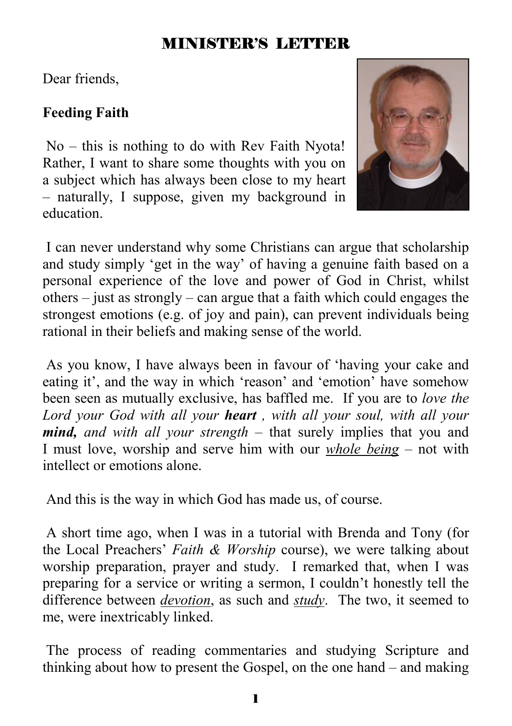## MINISTER'S LETTER

Dear friends,

## **Feeding Faith**

 No – this is nothing to do with Rev Faith Nyota! Rather, I want to share some thoughts with you on a subject which has always been close to my heart – naturally, I suppose, given my background in education.



 I can never understand why some Christians can argue that scholarship and study simply 'get in the way' of having a genuine faith based on a personal experience of the love and power of God in Christ, whilst others – just as strongly – can argue that a faith which could engages the strongest emotions (e.g. of joy and pain), can prevent individuals being rational in their beliefs and making sense of the world.

 As you know, I have always been in favour of 'having your cake and eating it', and the way in which 'reason' and 'emotion' have somehow been seen as mutually exclusive, has baffled me. If you are to *love the Lord your God with all your heart , with all your soul, with all your mind, and with all your strength* – that surely implies that you and I must love, worship and serve him with our *whole being* – not with intellect or emotions alone.

And this is the way in which God has made us, of course.

 A short time ago, when I was in a tutorial with Brenda and Tony (for the Local Preachers' *Faith & Worship* course), we were talking about worship preparation, prayer and study. I remarked that, when I was preparing for a service or writing a sermon, I couldn't honestly tell the difference between *devotion*, as such and *study*. The two, it seemed to me, were inextricably linked.

 The process of reading commentaries and studying Scripture and thinking about how to present the Gospel, on the one hand – and making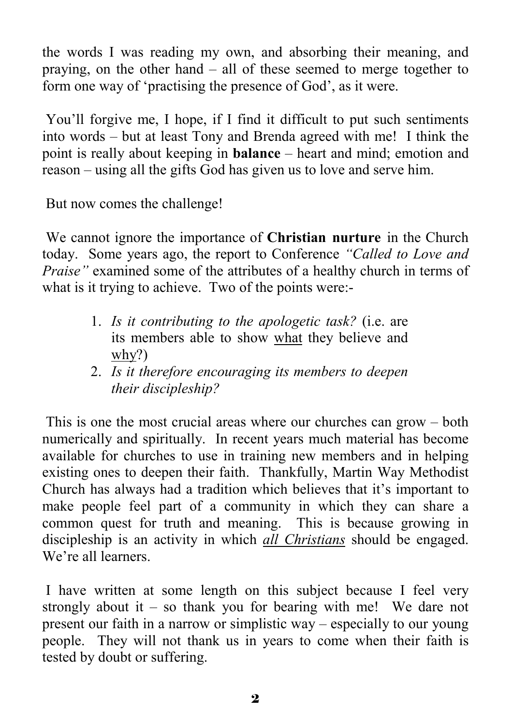the words I was reading my own, and absorbing their meaning, and praying, on the other hand – all of these seemed to merge together to form one way of 'practising the presence of God', as it were.

 You'll forgive me, I hope, if I find it difficult to put such sentiments into words – but at least Tony and Brenda agreed with me! I think the point is really about keeping in **balance** – heart and mind; emotion and reason – using all the gifts God has given us to love and serve him.

But now comes the challenge!

 We cannot ignore the importance of **Christian nurture** in the Church today. Some years ago, the report to Conference *"Called to Love and Praise"* examined some of the attributes of a healthy church in terms of what is it trying to achieve. Two of the points were:-

- 1. *Is it contributing to the apologetic task?* (i.e. are its members able to show what they believe and why?)
- 2. *Is it therefore encouraging its members to deepen their discipleship?*

 This is one the most crucial areas where our churches can grow – both numerically and spiritually. In recent years much material has become available for churches to use in training new members and in helping existing ones to deepen their faith. Thankfully, Martin Way Methodist Church has always had a tradition which believes that it's important to make people feel part of a community in which they can share a common quest for truth and meaning. This is because growing in discipleship is an activity in which *all Christians* should be engaged. We're all learners.

 I have written at some length on this subject because I feel very strongly about it – so thank you for bearing with me! We dare not present our faith in a narrow or simplistic way – especially to our young people. They will not thank us in years to come when their faith is tested by doubt or suffering.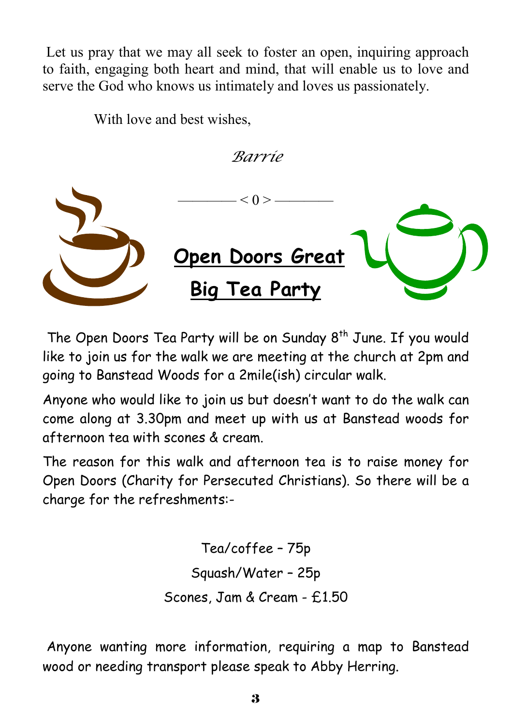Let us pray that we may all seek to foster an open, inquiring approach to faith, engaging both heart and mind, that will enable us to love and serve the God who knows us intimately and loves us passionately.

With love and best wishes,

*Barrie* 



The Open Doors Tea Party will be on Sunday  $8<sup>th</sup>$  June. If you would like to join us for the walk we are meeting at the church at 2pm and going to Banstead Woods for a 2mile(ish) circular walk.

Anyone who would like to join us but doesn't want to do the walk can come along at 3.30pm and meet up with us at Banstead woods for afternoon tea with scones & cream.

The reason for this walk and afternoon tea is to raise money for Open Doors (Charity for Persecuted Christians). So there will be a charge for the refreshments:-

> Tea/coffee – 75p Squash/Water – 25p Scones, Jam & Cream - £1.50

 Anyone wanting more information, requiring a map to Banstead wood or needing transport please speak to Abby Herring.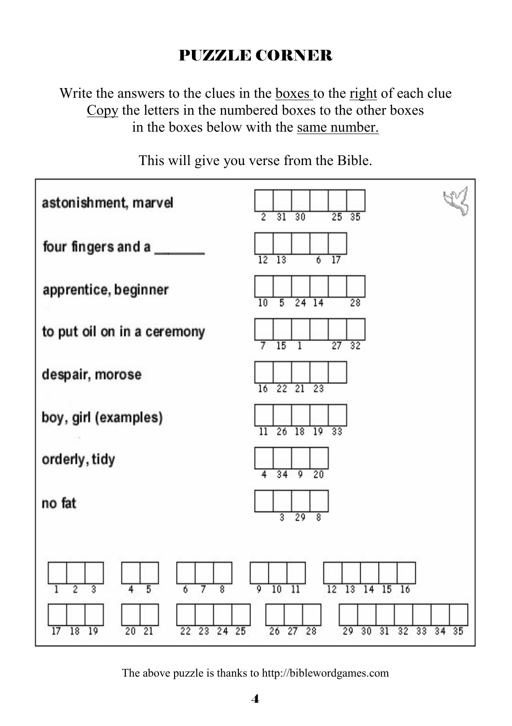# PUZZLE CORNER

Write the answers to the clues in the boxes to the right of each clue Copy the letters in the numbered boxes to the other boxes in the boxes below with the same number.



This will give you verse from the Bible.

The above puzzle is thanks to http://biblewordgames.com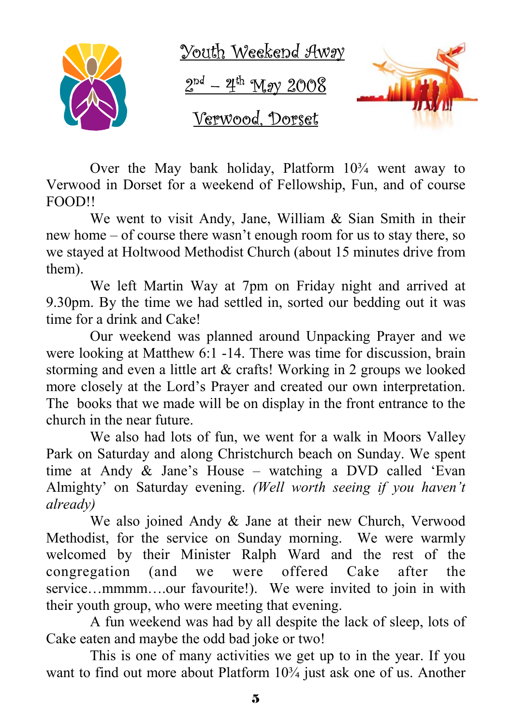

Over the May bank holiday, Platform  $10<sup>3</sup>/<sub>4</sub>$  went away to Verwood in Dorset for a weekend of Fellowship, Fun, and of course FOOD!!

 We went to visit Andy, Jane, William & Sian Smith in their new home – of course there wasn't enough room for us to stay there, so we stayed at Holtwood Methodist Church (about 15 minutes drive from them).

 We left Martin Way at 7pm on Friday night and arrived at 9.30pm. By the time we had settled in, sorted our bedding out it was time for a drink and Cake!

 Our weekend was planned around Unpacking Prayer and we were looking at Matthew 6:1 -14. There was time for discussion, brain storming and even a little art & crafts! Working in 2 groups we looked more closely at the Lord's Prayer and created our own interpretation. The books that we made will be on display in the front entrance to the church in the near future.

 We also had lots of fun, we went for a walk in Moors Valley Park on Saturday and along Christchurch beach on Sunday. We spent time at Andy & Jane's House – watching a DVD called 'Evan Almighty' on Saturday evening. *(Well worth seeing if you haven't already)* 

 We also joined Andy & Jane at their new Church, Verwood Methodist, for the service on Sunday morning. We were warmly welcomed by their Minister Ralph Ward and the rest of the congregation (and we were offered Cake after the service...mmmm....our favourite!). We were invited to join in with their youth group, who were meeting that evening.

 A fun weekend was had by all despite the lack of sleep, lots of Cake eaten and maybe the odd bad joke or two!

 This is one of many activities we get up to in the year. If you want to find out more about Platform  $10\frac{3}{4}$  just ask one of us. Another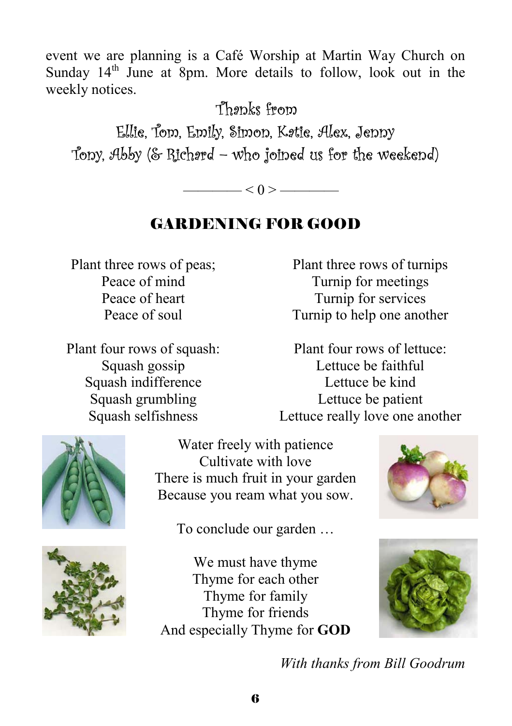event we are planning is a Café Worship at Martin Way Church on Sunday  $14<sup>th</sup>$  June at 8pm. More details to follow, look out in the weekly notices.

Thanks from

Ellie, Tom, Emily, Simon, Katie, Alex, Jenny Tony, Abby (& Richard – who joined us for the weekend)

 $< 0 >$  ——

# GARDENING FOR GOOD

Plant three rows of peas; Peace of mind Peace of heart Peace of soul

Plant four rows of squash: Squash gossip Squash indifference Squash grumbling Squash selfishness

Plant three rows of turnips Turnip for meetings Turnip for services Turnip to help one another

Plant four rows of lettuce: Lettuce be faithful Lettuce be kind Lettuce be patient Lettuce really love one another



Water freely with patience Cultivate with love There is much fruit in your garden Because you ream what you sow.



To conclude our garden …



We must have thyme Thyme for each other Thyme for family Thyme for friends And especially Thyme for **GOD**



*With thanks from Bill Goodrum*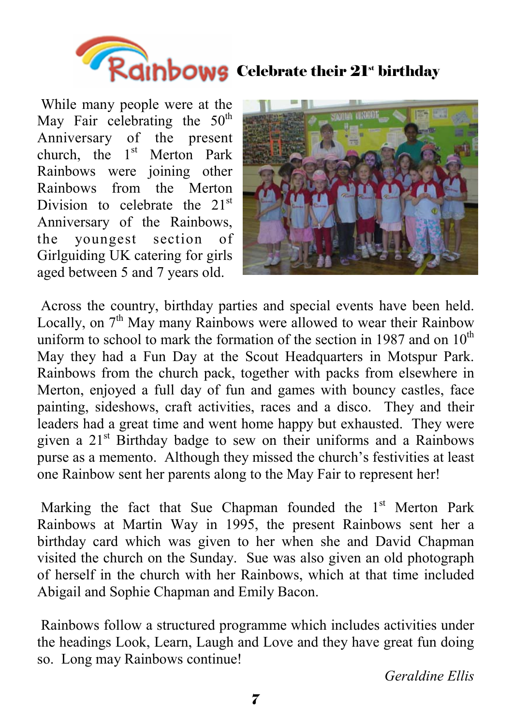

 While many people were at the May Fair celebrating the  $50<sup>th</sup>$ Anniversary of the present church, the  $1<sup>st</sup>$  Merton Park Rainbows were joining other Rainbows from the Merton Division to celebrate the  $21<sup>st</sup>$ Anniversary of the Rainbows, the youngest section of Girlguiding UK catering for girls aged between 5 and 7 years old.



 Across the country, birthday parties and special events have been held. Locally, on  $7<sup>th</sup>$  May many Rainbows were allowed to wear their Rainbow uniform to school to mark the formation of the section in 1987 and on  $10^{th}$ May they had a Fun Day at the Scout Headquarters in Motspur Park. Rainbows from the church pack, together with packs from elsewhere in Merton, enjoyed a full day of fun and games with bouncy castles, face painting, sideshows, craft activities, races and a disco. They and their leaders had a great time and went home happy but exhausted. They were given a  $21<sup>st</sup>$  Birthday badge to sew on their uniforms and a Rainbows purse as a memento. Although they missed the church's festivities at least one Rainbow sent her parents along to the May Fair to represent her!

Marking the fact that Sue Chapman founded the  $1<sup>st</sup>$  Merton Park Rainbows at Martin Way in 1995, the present Rainbows sent her a birthday card which was given to her when she and David Chapman visited the church on the Sunday. Sue was also given an old photograph of herself in the church with her Rainbows, which at that time included Abigail and Sophie Chapman and Emily Bacon.

 Rainbows follow a structured programme which includes activities under the headings Look, Learn, Laugh and Love and they have great fun doing so. Long may Rainbows continue!

*Geraldine Ellis*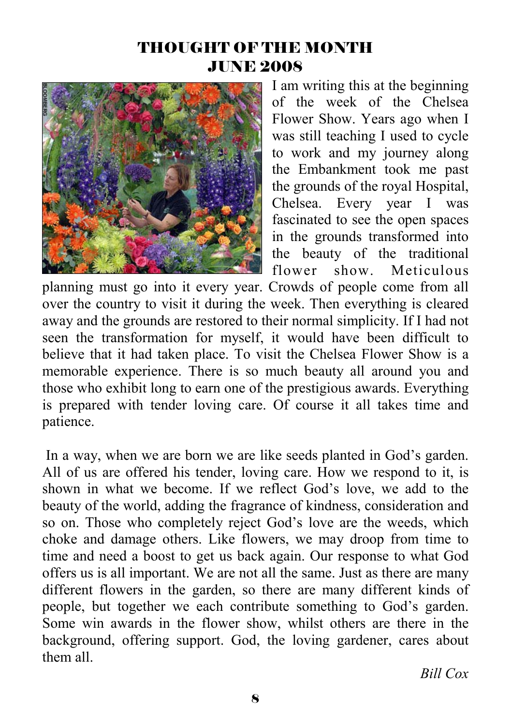## THOUGHT OF THE MONTH JUNE 2008



I am writing this at the beginning of the week of the Chelsea Flower Show. Years ago when I was still teaching I used to cycle to work and my journey along the Embankment took me past the grounds of the royal Hospital, Chelsea. Every year I was fascinated to see the open spaces in the grounds transformed into the beauty of the traditional flower show. Meticulous

planning must go into it every year. Crowds of people come from all over the country to visit it during the week. Then everything is cleared away and the grounds are restored to their normal simplicity. If I had not seen the transformation for myself, it would have been difficult to believe that it had taken place. To visit the Chelsea Flower Show is a memorable experience. There is so much beauty all around you and those who exhibit long to earn one of the prestigious awards. Everything is prepared with tender loving care. Of course it all takes time and patience.

 In a way, when we are born we are like seeds planted in God's garden. All of us are offered his tender, loving care. How we respond to it, is shown in what we become. If we reflect God's love, we add to the beauty of the world, adding the fragrance of kindness, consideration and so on. Those who completely reject God's love are the weeds, which choke and damage others. Like flowers, we may droop from time to time and need a boost to get us back again. Our response to what God offers us is all important. We are not all the same. Just as there are many different flowers in the garden, so there are many different kinds of people, but together we each contribute something to God's garden. Some win awards in the flower show, whilst others are there in the background, offering support. God, the loving gardener, cares about them all.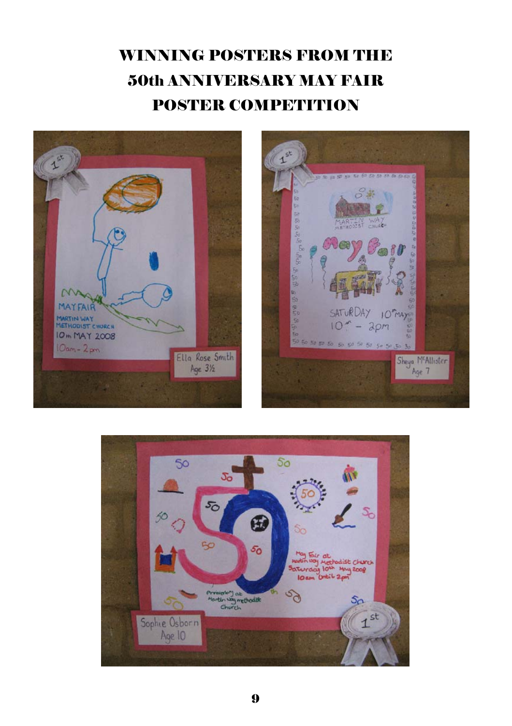# WINNING POSTERS FROM THE 50th ANNIVERSARY MAY FAIR POSTER COMPETITION





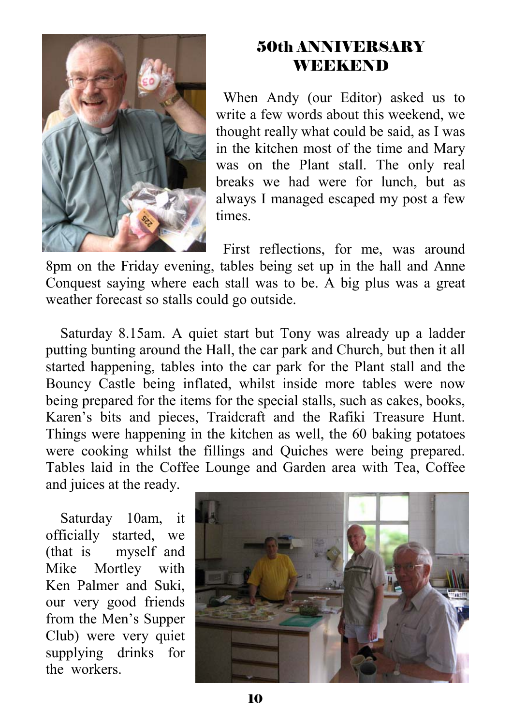

## 50th ANNIVERSARY **WEEKEND**

 When Andy (our Editor) asked us to write a few words about this weekend, we thought really what could be said, as I was in the kitchen most of the time and Mary was on the Plant stall. The only real breaks we had were for lunch, but as always I managed escaped my post a few times.

 First reflections, for me, was around 8pm on the Friday evening, tables being set up in the hall and Anne Conquest saying where each stall was to be. A big plus was a great weather forecast so stalls could go outside.

 Saturday 8.15am. A quiet start but Tony was already up a ladder putting bunting around the Hall, the car park and Church, but then it all started happening, tables into the car park for the Plant stall and the Bouncy Castle being inflated, whilst inside more tables were now being prepared for the items for the special stalls, such as cakes, books, Karen's bits and pieces, Traidcraft and the Rafiki Treasure Hunt. Things were happening in the kitchen as well, the 60 baking potatoes were cooking whilst the fillings and Quiches were being prepared. Tables laid in the Coffee Lounge and Garden area with Tea, Coffee and juices at the ready.

 Saturday 10am, it officially started, we (that is myself and Mike Mortley with Ken Palmer and Suki, our very good friends from the Men's Supper Club) were very quiet supplying drinks for the workers.

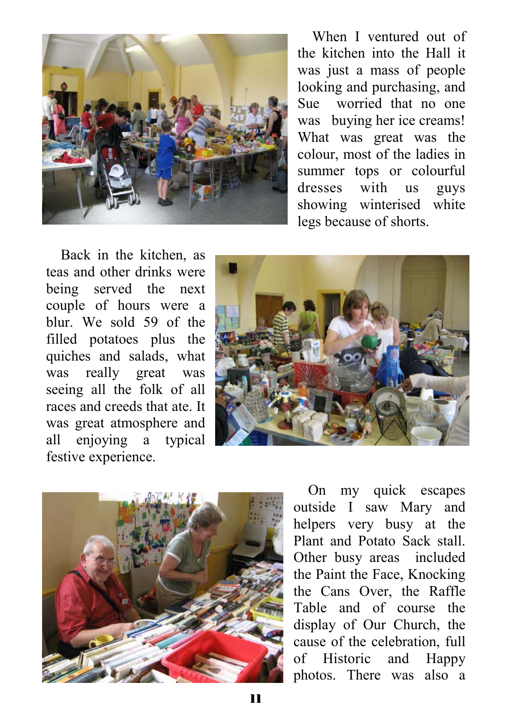

 When I ventured out of the kitchen into the Hall it was just a mass of people looking and purchasing, and Sue worried that no one was buying her ice creams! What was great was the colour, most of the ladies in summer tops or colourful dresses with us guys showing winterised white legs because of shorts.

 Back in the kitchen, as teas and other drinks were being served the next couple of hours were a blur. We sold 59 of the filled potatoes plus the quiches and salads, what was really great was seeing all the folk of all races and creeds that ate. It was great atmosphere and all enjoying a typical festive experience.





 On my quick escapes outside I saw Mary and helpers very busy at the Plant and Potato Sack stall. Other busy areas included the Paint the Face, Knocking the Cans Over, the Raffle Table and of course the display of Our Church, the cause of the celebration, full of Historic and Happy photos. There was also a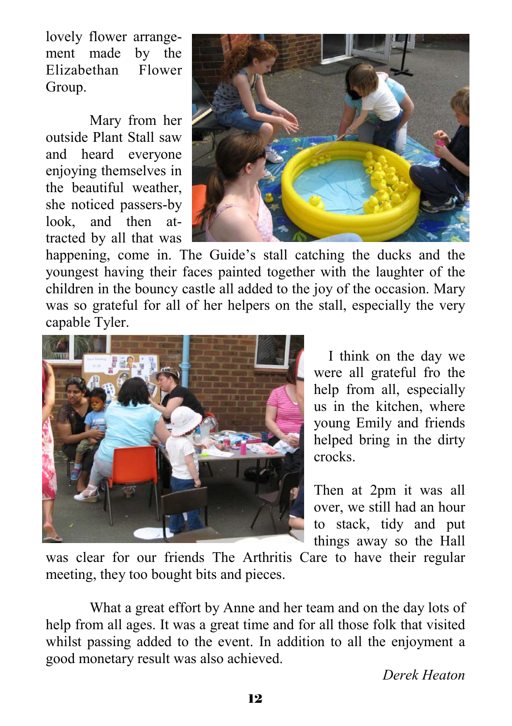lovely flower arrangement made by the Elizabethan Flower Group.

Mary from her outside Plant Stall saw and heard everyone enjoying themselves in the beautiful weather, she noticed passers-by look, and then attracted by all that was



happening, come in. The Guide's stall catching the ducks and the youngest having their faces painted together with the laughter of the children in the bouncy castle all added to the joy of the occasion. Mary was so grateful for all of her helpers on the stall, especially the very capable Tyler.



 I think on the day we were all grateful fro the help from all, especially us in the kitchen, where young Emily and friends helped bring in the dirty crocks.

Then at 2pm it was all over, we still had an hour to stack, tidy and put things away so the Hall

was clear for our friends The Arthritis Care to have their regular meeting, they too bought bits and pieces.

What a great effort by Anne and her team and on the day lots of help from all ages. It was a great time and for all those folk that visited whilst passing added to the event. In addition to all the enjoyment a good monetary result was also achieved.

*Derek Heaton*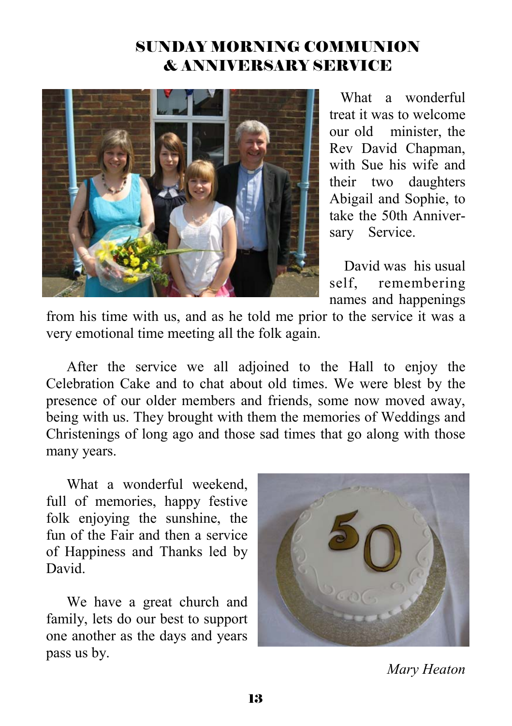## SUNDAY MORNING COMMUNION & ANNIVERSARY SERVICE



 What a wonderful treat it was to welcome our old minister, the Rev David Chapman, with Sue his wife and their two daughters Abigail and Sophie, to take the 50th Anniversary Service.

 David was his usual self remembering names and happenings

from his time with us, and as he told me prior to the service it was a very emotional time meeting all the folk again.

After the service we all adjoined to the Hall to enjoy the Celebration Cake and to chat about old times. We were blest by the presence of our older members and friends, some now moved away, being with us. They brought with them the memories of Weddings and Christenings of long ago and those sad times that go along with those many years.

What a wonderful weekend. full of memories, happy festive folk enjoying the sunshine, the fun of the Fair and then a service of Happiness and Thanks led by David.

We have a great church and family, lets do our best to support one another as the days and years pass us by.



*Mary Heaton*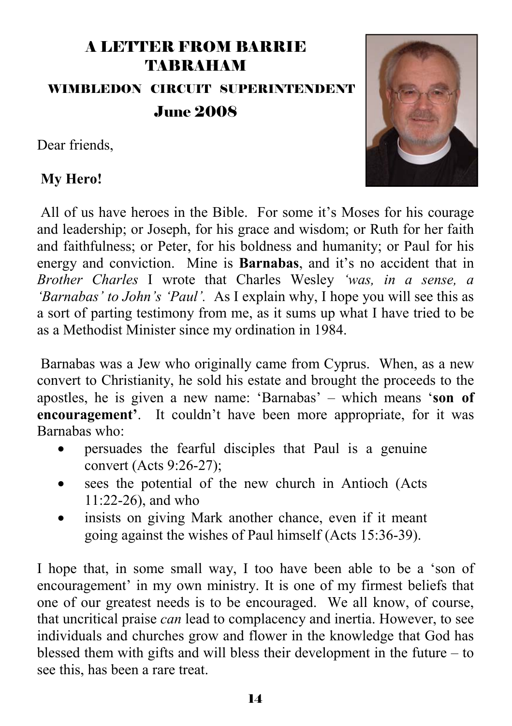# A LETTER FROM BARRIE TABRAHAM WIMBLEDON CIRCUIT SUPERINTENDENT June 2008

Dear friends,



#### **My Hero!**

 All of us have heroes in the Bible. For some it's Moses for his courage and leadership; or Joseph, for his grace and wisdom; or Ruth for her faith and faithfulness; or Peter, for his boldness and humanity; or Paul for his energy and conviction. Mine is **Barnabas**, and it's no accident that in *Brother Charles* I wrote that Charles Wesley *'was, in a sense, a 'Barnabas' to John's 'Paul'.* As I explain why, I hope you will see this as a sort of parting testimony from me, as it sums up what I have tried to be as a Methodist Minister since my ordination in 1984.

 Barnabas was a Jew who originally came from Cyprus. When, as a new convert to Christianity, he sold his estate and brought the proceeds to the apostles, he is given a new name: 'Barnabas' – which means '**son of encouragement'**. It couldn't have been more appropriate, for it was Barnabas who:

- persuades the fearful disciples that Paul is a genuine convert (Acts 9:26-27);
- sees the potential of the new church in Antioch (Acts 11:22-26), and who
- insists on giving Mark another chance, even if it meant going against the wishes of Paul himself (Acts 15:36-39).

I hope that, in some small way, I too have been able to be a 'son of encouragement' in my own ministry. It is one of my firmest beliefs that one of our greatest needs is to be encouraged. We all know, of course, that uncritical praise *can* lead to complacency and inertia. However, to see individuals and churches grow and flower in the knowledge that God has blessed them with gifts and will bless their development in the future – to see this, has been a rare treat.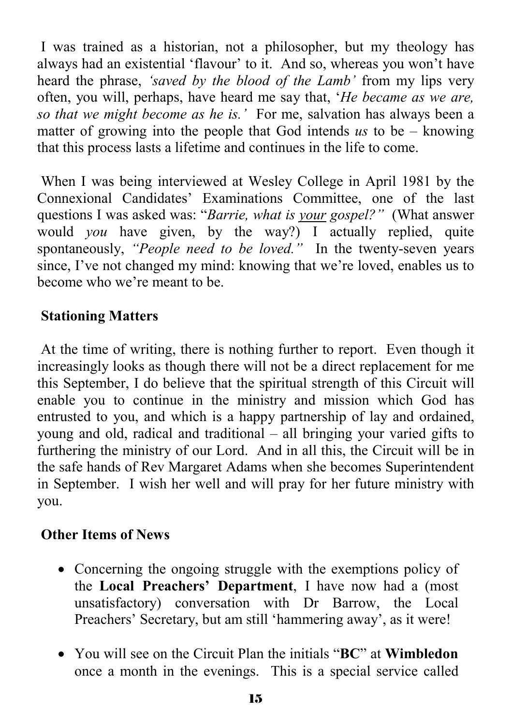I was trained as a historian, not a philosopher, but my theology has always had an existential 'flavour' to it. And so, whereas you won't have heard the phrase, *'saved by the blood of the Lamb'* from my lips very often, you will, perhaps, have heard me say that, '*He became as we are, so that we might become as he is.'* For me, salvation has always been a matter of growing into the people that God intends *us* to be – knowing that this process lasts a lifetime and continues in the life to come.

 When I was being interviewed at Wesley College in April 1981 by the Connexional Candidates' Examinations Committee, one of the last questions I was asked was: "*Barrie, what is your gospel?"* (What answer would *you* have given, by the way?) I actually replied, quite spontaneously, *"People need to be loved."* In the twenty-seven years since, I've not changed my mind: knowing that we're loved, enables us to become who we're meant to be.

#### **Stationing Matters**

 At the time of writing, there is nothing further to report. Even though it increasingly looks as though there will not be a direct replacement for me this September, I do believe that the spiritual strength of this Circuit will enable you to continue in the ministry and mission which God has entrusted to you, and which is a happy partnership of lay and ordained, young and old, radical and traditional – all bringing your varied gifts to furthering the ministry of our Lord. And in all this, the Circuit will be in the safe hands of Rev Margaret Adams when she becomes Superintendent in September. I wish her well and will pray for her future ministry with you.

#### **Other Items of News**

- Concerning the ongoing struggle with the exemptions policy of the **Local Preachers' Department**, I have now had a (most unsatisfactory) conversation with Dr Barrow, the Local Preachers' Secretary, but am still 'hammering away', as it were!
- You will see on the Circuit Plan the initials "**BC**" at **Wimbledon** once a month in the evenings. This is a special service called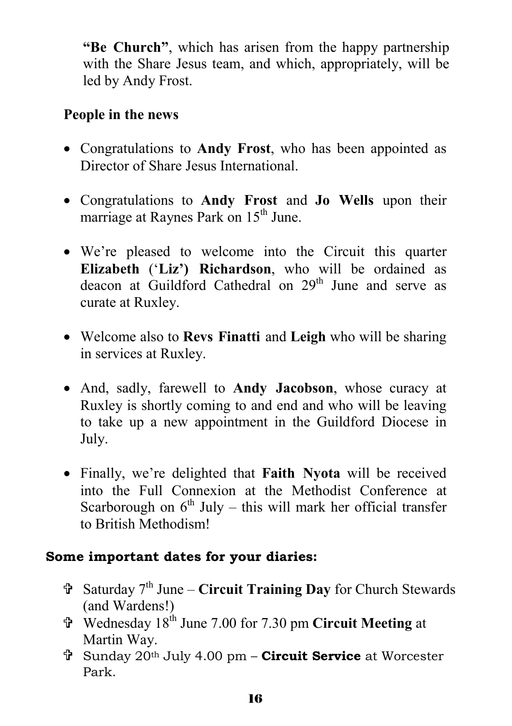**"Be Church"**, which has arisen from the happy partnership with the Share Jesus team, and which, appropriately, will be led by Andy Frost.

#### **People in the news**

- Congratulations to **Andy Frost**, who has been appointed as Director of Share Jesus International.
- Congratulations to **Andy Frost** and **Jo Wells** upon their marriage at Raynes Park on 15<sup>th</sup> June.
- We're pleased to welcome into the Circuit this quarter **Elizabeth** ('**Liz') Richardson**, who will be ordained as deacon at Guildford Cathedral on 29<sup>th</sup> June and serve as curate at Ruxley.
- Welcome also to **Revs Finatti** and **Leigh** who will be sharing in services at Ruxley.
- And, sadly, farewell to **Andy Jacobson**, whose curacy at Ruxley is shortly coming to and end and who will be leaving to take up a new appointment in the Guildford Diocese in July.
- Finally, we're delighted that **Faith Nyota** will be received into the Full Connexion at the Methodist Conference at Scarborough on  $6<sup>th</sup>$  July – this will mark her official transfer to British Methodism!

#### **Some important dates for your diaries:**

- = Saturday 7th June **Circuit Training Day** for Church Stewards (and Wardens!)
- = Wednesday 18th June 7.00 for 7.30 pm **Circuit Meeting** at Martin Way.
- = Sunday 20th July 4.00 pm **Circuit Service** at Worcester Park.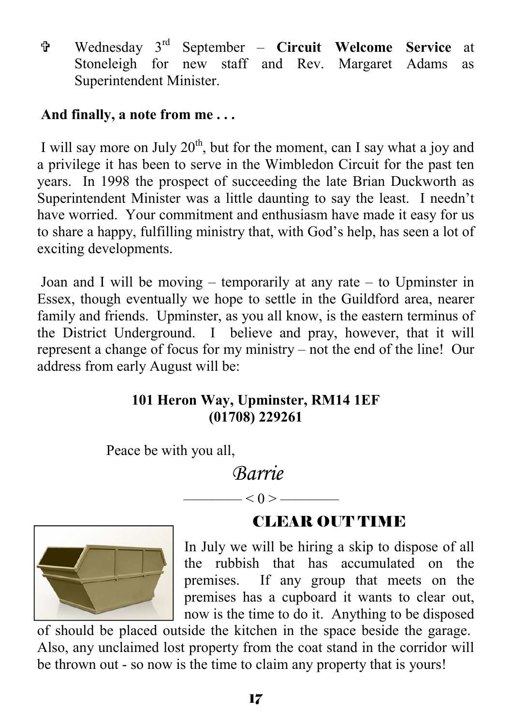= Wednesday 3rd September – **Circuit Welcome Service** at Stoneleigh for new staff and Rev. Margaret Adams as Superintendent Minister.

#### **And finally, a note from me . . .**

I will say more on July  $20<sup>th</sup>$ , but for the moment, can I say what a joy and a privilege it has been to serve in the Wimbledon Circuit for the past ten years. In 1998 the prospect of succeeding the late Brian Duckworth as Superintendent Minister was a little daunting to say the least. I needn't have worried. Your commitment and enthusiasm have made it easy for us to share a happy, fulfilling ministry that, with God's help, has seen a lot of exciting developments.

Joan and I will be moving – temporarily at any rate – to Upminster in Essex, though eventually we hope to settle in the Guildford area, nearer family and friends. Upminster, as you all know, is the eastern terminus of the District Underground. I believe and pray, however, that it will represent a change of focus for my ministry – not the end of the line! Our address from early August will be:

#### **101 Heron Way, Upminster, RM14 1EF (01708) 229261**

Peace be with you all,

*Barrie* 

 $-$  < 0 >  $-$ 



**CLEAR OUT TIME** 

In July we will be hiring a skip to dispose of all the rubbish that has accumulated on the premises. If any group that meets on the premises has a cupboard it wants to clear out, now is the time to do it. Anything to be disposed

of should be placed outside the kitchen in the space beside the garage. Also, any unclaimed lost property from the coat stand in the corridor will be thrown out - so now is the time to claim any property that is yours!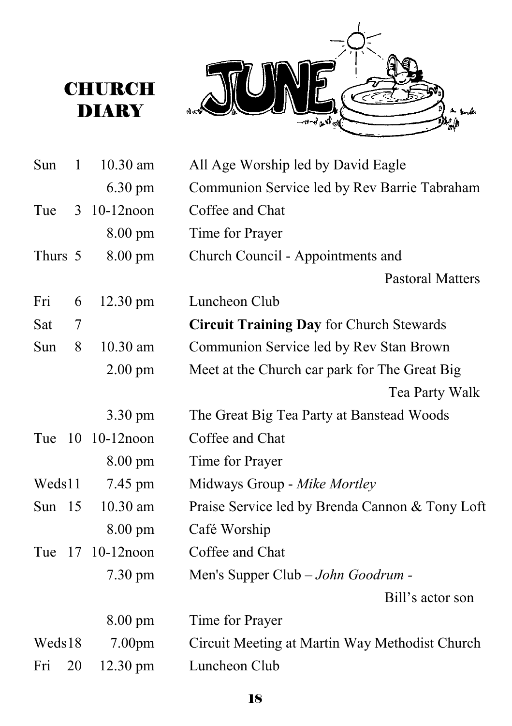# **CHURCH DIARY**



| Sun      | 1  | 10.30 am          | All Age Worship led by David Eagle              |
|----------|----|-------------------|-------------------------------------------------|
|          |    | 6.30 pm           | Communion Service led by Rev Barrie Tabraham    |
| Tue      |    | 3 10-12noon       | Coffee and Chat                                 |
|          |    | 8.00 pm           | Time for Prayer                                 |
| Thurs 5  |    | $8.00 \text{ pm}$ | Church Council - Appointments and               |
|          |    |                   | <b>Pastoral Matters</b>                         |
| Fri      | 6  | 12.30 pm          | Luncheon Club                                   |
| Sat      | 7  |                   | <b>Circuit Training Day for Church Stewards</b> |
| Sun      | 8  | 10.30 am          | Communion Service led by Rev Stan Brown         |
|          |    | $2.00 \text{ pm}$ | Meet at the Church car park for The Great Big   |
|          |    |                   | Tea Party Walk                                  |
|          |    | 3.30 pm           | The Great Big Tea Party at Banstead Woods       |
|          |    | Tue 10 10-12 noon | Coffee and Chat                                 |
|          |    | 8.00 pm           | Time for Prayer                                 |
| Weds11   |    | 7.45 pm           | Midways Group - Mike Mortley                    |
| Sun $15$ |    | 10.30 am          | Praise Service led by Brenda Cannon & Tony Loft |
|          |    | 8.00 pm           | Café Worship                                    |
| Tue      |    | 17 10-12 noon     | Coffee and Chat                                 |
|          |    | $7.30 \text{ pm}$ | Men's Supper Club - John Goodrum -              |
|          |    |                   | Bill's actor son                                |
|          |    | 8.00 pm           | Time for Prayer                                 |
| Weds18   |    | 7.00pm            | Circuit Meeting at Martin Way Methodist Church  |
| Fri      | 20 | 12.30 pm          | Luncheon Club                                   |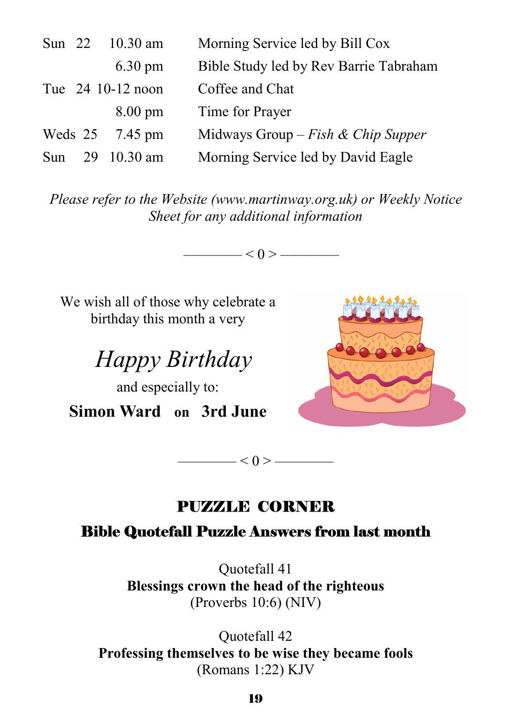|                   |  | Sun 22 10.30 am   | Morning Service led by Bill Cox        |
|-------------------|--|-------------------|----------------------------------------|
|                   |  | $6.30 \text{ pm}$ | Bible Study led by Rev Barrie Tabraham |
| Tue 24 10-12 noon |  |                   | Coffee and Chat                        |
|                   |  | $8.00 \text{ pm}$ | Time for Prayer                        |
|                   |  | Weds 25 7.45 pm   | Midways Group – Fish & Chip Supper     |
| Sun               |  | 29 10.30 am       | Morning Service led by David Eagle     |

*Please refer to the Website (www.martinway.org.uk) or Weekly Notice Sheet for any additional information* 

 $<$  0 > —

We wish all of those why celebrate a birthday this month a very

 *Happy Birthday* 

and especially to: **Simon Ward on 3rd June** 



## PUZZLE CORNER

 $< 0 >$  ——

#### Bible Quotefall Puzzle Answers from last month

Quotefall 41 **Blessings crown the head of the righteous**  (Proverbs 10:6) (NIV)

Quotefall 42 **Professing themselves to be wise they became fools**  (Romans 1:22) KJV